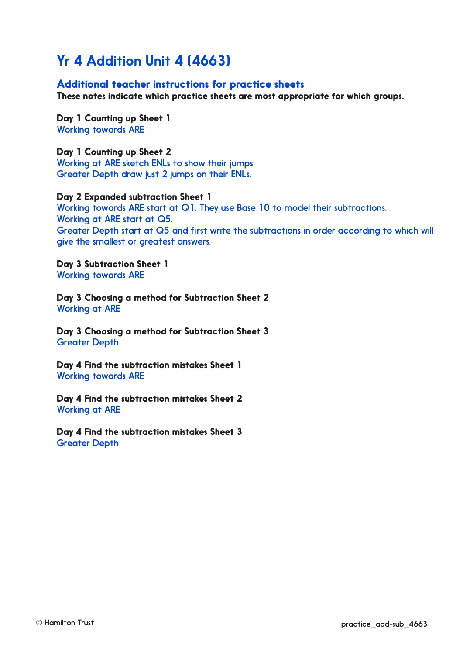# Yr 4 Addition Unit 4 (4663)

#### Additional teacher instructions for practice sheets

These notes indicate which practice sheets are most appropriate for which groups.

Day 1 Counting up Sheet 1 Working towards ARE

#### Day 1 Counting up Sheet 2

Working at ARE sketch ENLs to show their jumps. Greater Depth draw just 2 jumps on their ENLs.

#### Day 2 Expanded subtraction Sheet 1

Working towards ARE start at Q1. They use Base 10 to model their subtractions. Working at ARE start at Q5. Greater Depth start at Q5 and first write the subtractions in order according to which will give the smallest or greatest answers.

Day 3 Subtraction Sheet 1 Working towards ARE

Day 3 Choosing a method for Subtraction Sheet 2 Working at ARE

Day 3 Choosing a method for Subtraction Sheet 3 Greater Depth

Day 4 Find the subtraction mistakes Sheet 1 Working towards ARE

Day 4 Find the subtraction mistakes Sheet 2 Working at ARE

Day 4 Find the subtraction mistakes Sheet 3 Greater Depth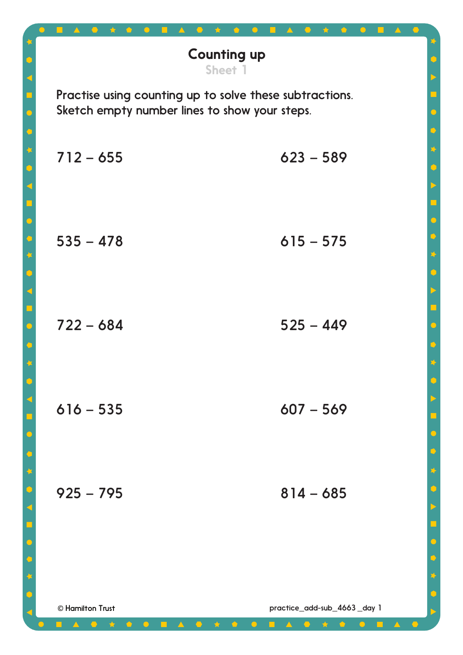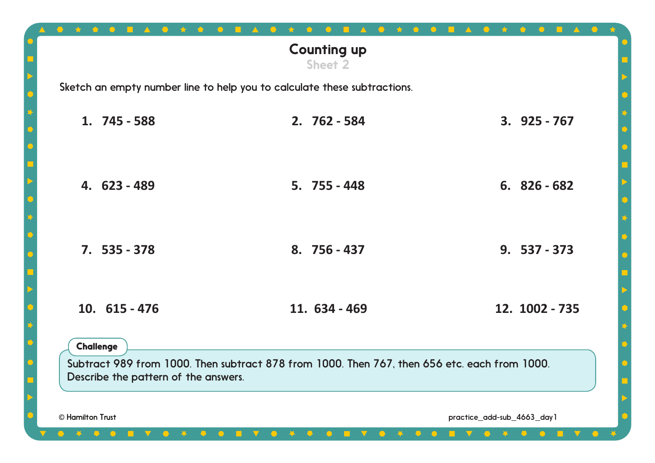|                                                          | <b>Counting up</b><br><b>Sheet 2</b>                                                         |                            |
|----------------------------------------------------------|----------------------------------------------------------------------------------------------|----------------------------|
|                                                          | Sketch an empty number line to help you to calculate these subtractions.                     |                            |
| 1. 745 - 588                                             | 2. 762 - 584                                                                                 | $3.925 - 767$              |
| 4. 623 - 489                                             | $5.755 - 448$                                                                                | $6.826 - 682$              |
| $7.535 - 378$                                            | 8. 756 - 437                                                                                 | $9.537 - 373$              |
| 10. $615 - 476$                                          | 11. 634 - 469                                                                                | 12. 1002 - 735             |
| <b>Challenge</b><br>Describe the pattern of the answers. | Subtract 989 from 1000. Then subtract 878 from 1000. Then 767, then 656 etc. each from 1000. |                            |
| © Hamilton Trust                                         |                                                                                              | practice_add-sub_4663_day1 |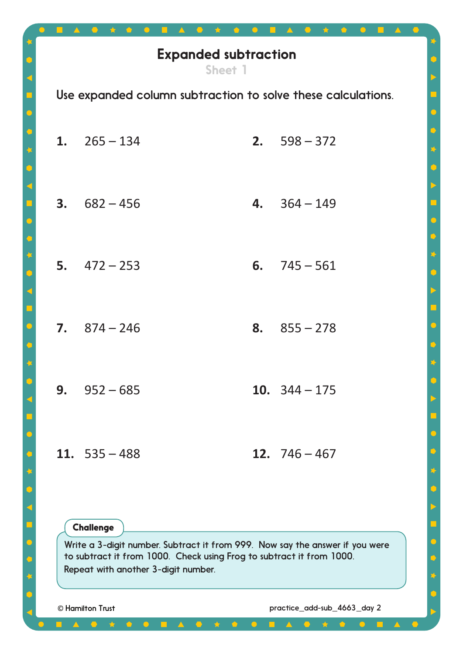|                                                                                                                                                                                                                                                           | <b>Expanded subtraction</b>                                  |    |                             | 玲                                              |
|-----------------------------------------------------------------------------------------------------------------------------------------------------------------------------------------------------------------------------------------------------------|--------------------------------------------------------------|----|-----------------------------|------------------------------------------------|
|                                                                                                                                                                                                                                                           | Sheet 1                                                      |    |                             | $\blacktriangleright$<br>ó                     |
|                                                                                                                                                                                                                                                           | Use expanded column subtraction to solve these calculations. |    |                             | $\bullet$                                      |
| 1.                                                                                                                                                                                                                                                        | $265 - 134$                                                  | 2. | $598 - 372$                 | $\ddot{\mathbf{o}}$<br>$\overline{\mathbf{L}}$ |
| 3.                                                                                                                                                                                                                                                        | $682 - 456$                                                  | 4. | $364 - 149$                 | $\ddot{\bullet}$                               |
|                                                                                                                                                                                                                                                           | 5. $472 - 253$                                               | 6. | $745 - 561$                 | b<br>$\overline{\mathbf{R}}$                   |
|                                                                                                                                                                                                                                                           | $7.874 - 246$                                                | 8. | $855 - 278$                 |                                                |
|                                                                                                                                                                                                                                                           | 9. $952 - 685$                                               |    | 10. $344 - 175$             |                                                |
|                                                                                                                                                                                                                                                           | 11. $535 - 488$                                              |    | 12. $746 - 467$             | $\bullet$                                      |
|                                                                                                                                                                                                                                                           |                                                              |    |                             | $\mathbf{X}$<br>$\Box$                         |
| <b>Challenge</b><br>$\bullet$<br>Write a 3-digit number. Subtract it from 999. Now say the answer if you were<br>to subtract it from 1000. Check using Frog to subtract it from 1000.<br>$\bullet$<br>Repeat with another 3-digit number.<br>$\mathbf{I}$ |                                                              |    |                             |                                                |
|                                                                                                                                                                                                                                                           | © Hamilton Trust                                             |    | practice_add-sub_4663_day 2 |                                                |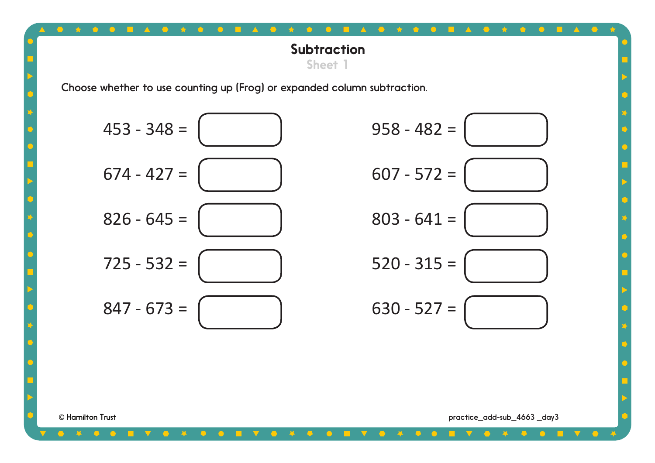# **Subtraction** Sheet 1

 $\bullet$ 

Choose whether to use counting up (Frog) or expanded column subtraction.

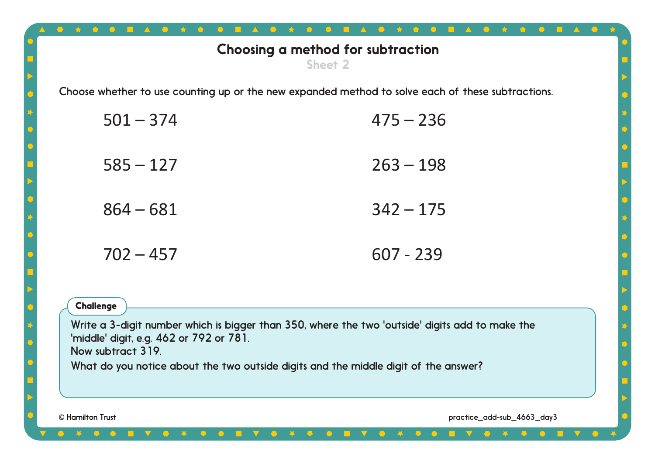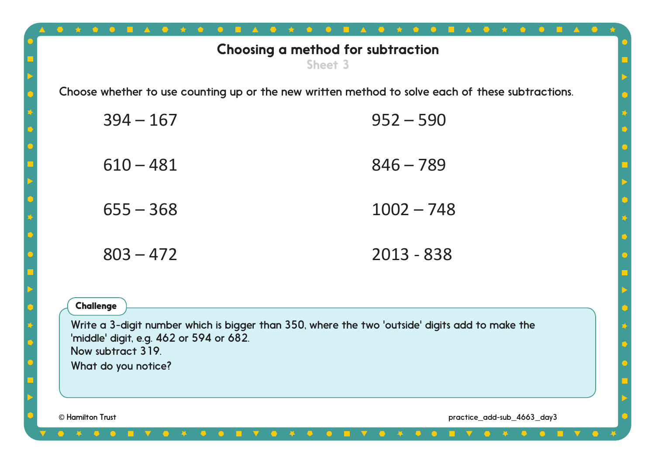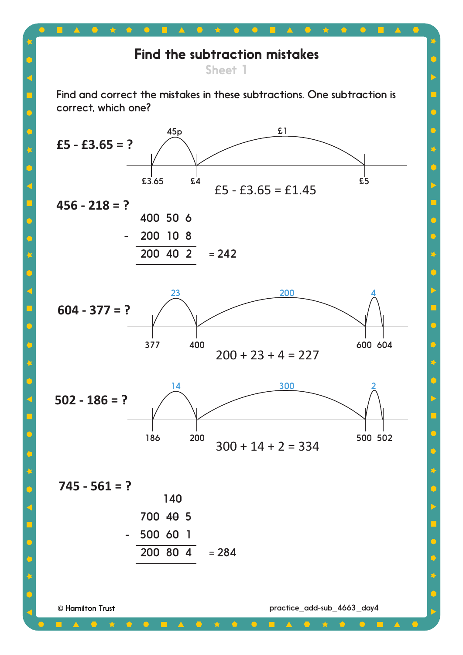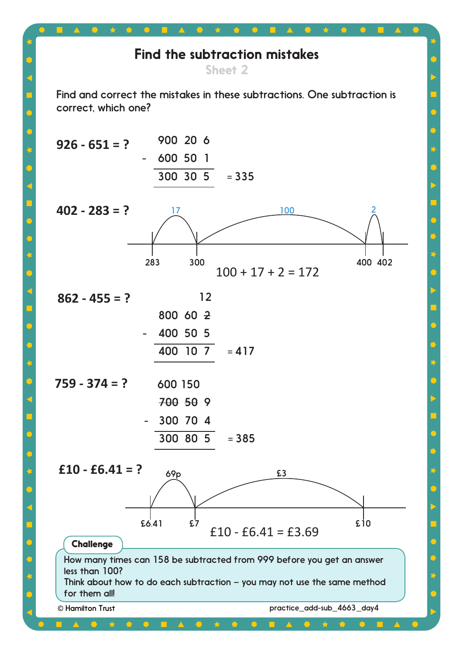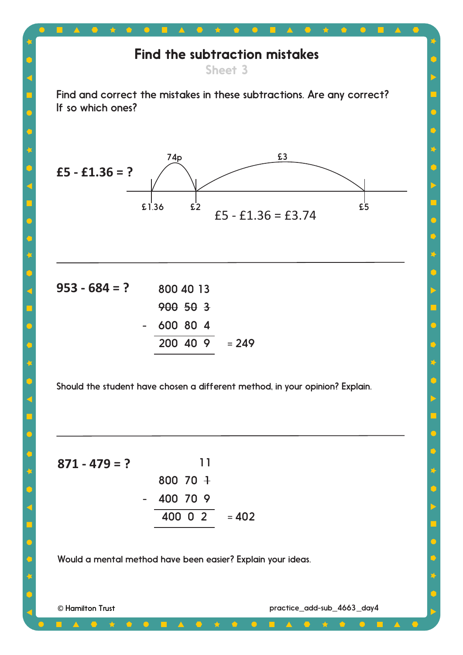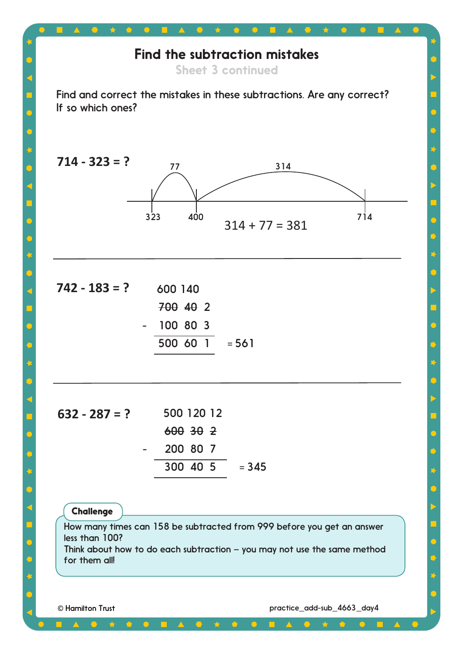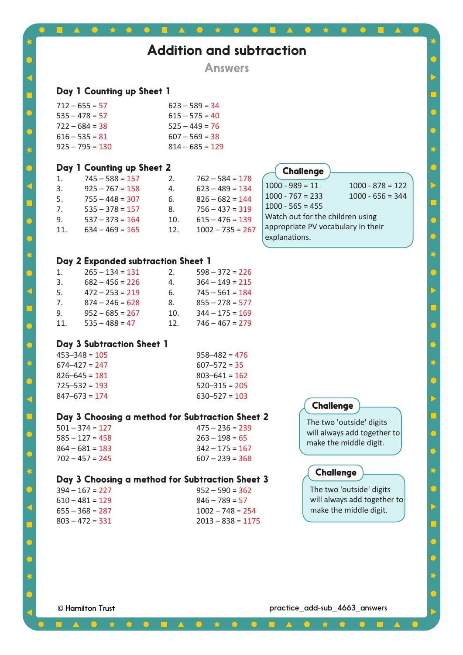|                |                                                 |     | <b>Answers</b>      |                                                                        |  |
|----------------|-------------------------------------------------|-----|---------------------|------------------------------------------------------------------------|--|
|                |                                                 |     |                     |                                                                        |  |
|                | Day 1 Counting up Sheet 1                       |     |                     |                                                                        |  |
|                | $712 - 655 = 57$                                |     | $623 - 589 = 34$    |                                                                        |  |
|                | $535 - 478 = 57$                                |     | $615 - 575 = 40$    |                                                                        |  |
|                | $722 - 684 = 38$                                |     | $525 - 449 = 76$    |                                                                        |  |
|                | $616 - 535 = 81$                                |     | $607 - 569 = 38$    |                                                                        |  |
|                | $925 - 795 = 130$                               |     | $814 - 685 = 129$   |                                                                        |  |
|                | Day 1 Counting up Sheet 2                       |     |                     | <b>Challenge</b>                                                       |  |
| $\mathbf{1}$ . | $745 - 588 = 157$                               | 2.  | $762 - 584 = 178$   |                                                                        |  |
| 3.             | $925 - 767 = 158$                               | 4.  | $623 - 489 = 134$   | $1000 - 989 = 11$<br>$1000 - 878 = 122$                                |  |
| 5.             | $755 - 448 = 307$                               | 6.  | $826 - 682 = 144$   | $1000 - 767 = 233$<br>$1000 - 656 = 344$                               |  |
| 7.             | $535 - 378 = 157$                               | 8.  | $756 - 437 = 319$   | $1000 - 565 = 455$                                                     |  |
| 9.             | $537 - 373 = 164$                               | 10. | $615 - 476 = 139$   | Watch out for the children using<br>appropriate PV vocabulary in their |  |
| 11.            | $634 - 469 = 165$                               | 12. | $1002 - 735 = 267$  | explanations.                                                          |  |
|                |                                                 |     |                     |                                                                        |  |
|                | Day 2 Expanded subtraction Sheet 1              |     |                     |                                                                        |  |
| 1.             | $265 - 134 = 131$                               | 2.  | $598 - 372 = 226$   |                                                                        |  |
| 3.             | $682 - 456 = 226$                               | 4.  | $364 - 149 = 215$   |                                                                        |  |
| 5.             | $472 - 253 = 219$                               | 6.  | $745 - 561 = 184$   |                                                                        |  |
| 7.             | $874 - 246 = 628$                               | 8.  | $855 - 278 = 577$   |                                                                        |  |
| 9.             | $952 - 685 = 267$                               | 10. | $344 - 175 = 169$   |                                                                        |  |
| 11.            | $535 - 488 = 47$                                | 12. | $746 - 467 = 279$   |                                                                        |  |
|                | Day 3 Subtraction Sheet 1                       |     |                     |                                                                        |  |
|                | $453 - 348 = 105$                               |     | $958 - 482 = 476$   |                                                                        |  |
|                | $674 - 427 = 247$                               |     | $607 - 572 = 35$    |                                                                        |  |
|                | $826 - 645 = 181$                               |     | $803 - 641 = 162$   |                                                                        |  |
|                | $725 - 532 = 193$                               |     | $520 - 315 = 205$   |                                                                        |  |
|                | $847 - 673 = 174$                               |     | $630 - 527 = 103$   |                                                                        |  |
|                | Day 3 Choosing a method for Subtraction Sheet 2 |     |                     | <b>Challenge</b>                                                       |  |
|                | $501 - 374 = 127$                               |     | $475 - 236 = 239$   | The two 'outside' digits                                               |  |
|                | $585 - 127 = 458$                               |     | $263 - 198 = 65$    | will always add together to                                            |  |
|                | $864 - 681 = 183$                               |     | $342 - 175 = 167$   | make the middle digit.                                                 |  |
|                | $702 - 457 = 245$                               |     | $607 - 239 = 368$   |                                                                        |  |
|                | Day 3 Choosing a method for Subtraction Sheet 3 |     |                     | <b>Challenge</b>                                                       |  |
|                | $394 - 167 = 227$                               |     | $952 - 590 = 362$   | The two 'outside' digits                                               |  |
|                | $610 - 481 = 129$                               |     | $846 - 789 = 57$    | will always add together to                                            |  |
|                | $655 - 368 = 287$                               |     | $1002 - 748 = 254$  | make the middle digit.                                                 |  |
|                | $803 - 472 = 331$                               |     | $2013 - 838 = 1175$ |                                                                        |  |

 $\bullet$ 

 $\bigcirc$ 

 $\bigcirc$ 

 $\left\langle \cdot \right\rangle$ 

 $\ddot{\textbf{C}}$ 

 $\leq$ 

 $\bigcirc$ 

 $\hat{C}$ 

专

 $\hat{\mathsf{C}}$ 

 $\leq$ 

 $\bigcirc$ 

 $\overline{\text{C}}$ 

♦

 $\mathbb C$ 

 $\prec$ 

 $\bigcirc$ 

♦

K

 $\bullet$ 

 $\blacksquare$  $\Delta$   $\blacksquare$  <br>  $\blacktriangle$ 

 $\bigcirc$ 

 $\bullet$ 

 $\Box$